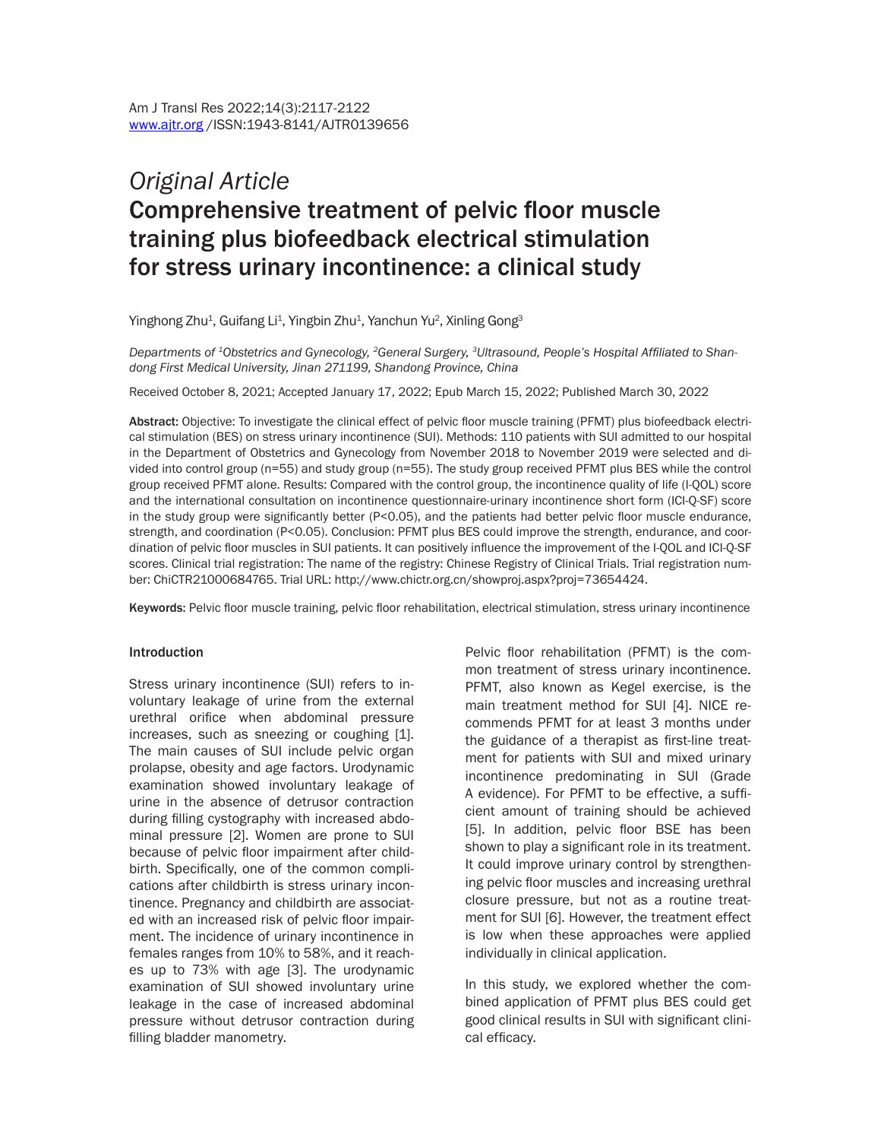# *Original Article* Comprehensive treatment of pelvic floor muscle training plus biofeedback electrical stimulation for stress urinary incontinence: a clinical study

Yinghong Zhu $^{\rm 1}$ , Guifang Li $^{\rm 1}$ , Yingbin Zhu $^{\rm 1}$ , Yanchun Yu $^{\rm 2}$ , Xinling Gong $^{\rm 3}$ 

*Departments of 1Obstetrics and Gynecology, 2General Surgery, 3Ultrasound, People's Hospital Affiliated to Shandong First Medical University, Jinan 271199, Shandong Province, China*

Received October 8, 2021; Accepted January 17, 2022; Epub March 15, 2022; Published March 30, 2022

Abstract: Objective: To investigate the clinical effect of pelvic floor muscle training (PFMT) plus biofeedback electrical stimulation (BES) on stress urinary incontinence (SUI). Methods: 110 patients with SUI admitted to our hospital in the Department of Obstetrics and Gynecology from November 2018 to November 2019 were selected and divided into control group (n=55) and study group (n=55). The study group received PFMT plus BES while the control group received PFMT alone. Results: Compared with the control group, the incontinence quality of life (I-QOL) score and the international consultation on incontinence questionnaire-urinary incontinence short form (ICI-Q-SF) score in the study group were significantly better (P<0.05), and the patients had better pelvic floor muscle endurance, strength, and coordination (P<0.05). Conclusion: PFMT plus BES could improve the strength, endurance, and coordination of pelvic floor muscles in SUI patients. It can positively influence the improvement of the I-QOL and ICI-Q-SF scores. Clinical trial registration: The name of the registry: Chinese Registry of Clinical Trials. Trial registration number: ChiCTR21000684765. Trial URL: http://www.chictr.org.cn/showproj.aspx?proj=73654424.

Keywords: Pelvic floor muscle training, pelvic floor rehabilitation, electrical stimulation, stress urinary incontinence

#### Introduction

Stress urinary incontinence (SUI) refers to involuntary leakage of urine from the external urethral orifice when abdominal pressure increases, such as sneezing or coughing [1]. The main causes of SUI include pelvic organ prolapse, obesity and age factors. Urodynamic examination showed involuntary leakage of urine in the absence of detrusor contraction during filling cystography with increased abdominal pressure [2]. Women are prone to SUI because of pelvic floor impairment after childbirth. Specifically, one of the common complications after childbirth is stress urinary incontinence. Pregnancy and childbirth are associated with an increased risk of pelvic floor impairment. The incidence of urinary incontinence in females ranges from 10% to 58%, and it reaches up to 73% with age [3]. The urodynamic examination of SUI showed involuntary urine leakage in the case of increased abdominal pressure without detrusor contraction during filling bladder manometry.

Pelvic floor rehabilitation (PFMT) is the common treatment of stress urinary incontinence. PFMT, also known as Kegel exercise, is the main treatment method for SUI [4]. NICE recommends PFMT for at least 3 months under the guidance of a therapist as first-line treatment for patients with SUI and mixed urinary incontinence predominating in SUI (Grade A evidence). For PFMT to be effective, a sufficient amount of training should be achieved [5]. In addition, pelvic floor BSE has been shown to play a significant role in its treatment. It could improve urinary control by strengthening pelvic floor muscles and increasing urethral closure pressure, but not as a routine treatment for SUI [6]. However, the treatment effect is low when these approaches were applied individually in clinical application.

In this study, we explored whether the combined application of PFMT plus BES could get good clinical results in SUI with significant clinical efficacy.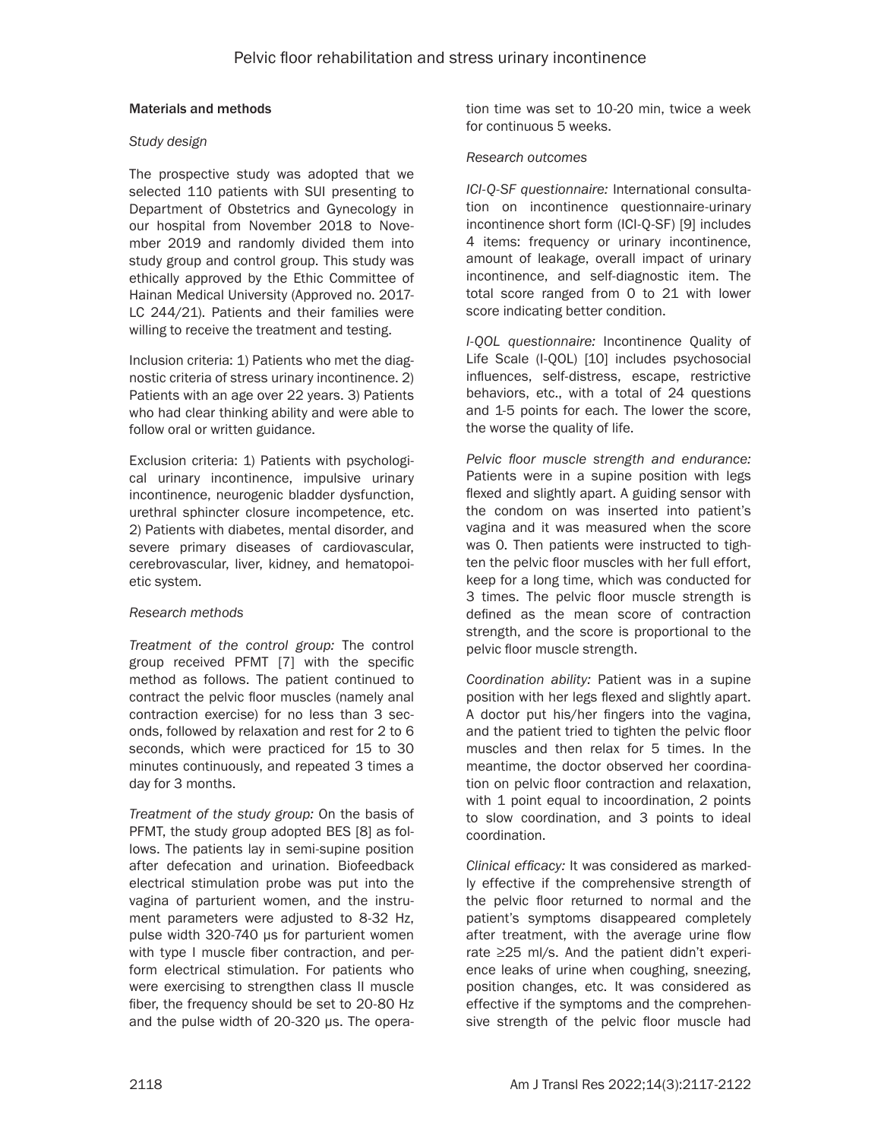## Materials and methods

## *Study design*

The prospective study was adopted that we selected 110 patients with SUI presenting to Department of Obstetrics and Gynecology in our hospital from November 2018 to November 2019 and randomly divided them into study group and control group. This study was ethically approved by the Ethic Committee of Hainan Medical University (Approved no. 2017- LC 244/21). Patients and their families were willing to receive the treatment and testing.

Inclusion criteria: 1) Patients who met the diagnostic criteria of stress urinary incontinence. 2) Patients with an age over 22 years. 3) Patients who had clear thinking ability and were able to follow oral or written guidance.

Exclusion criteria: 1) Patients with psychological urinary incontinence, impulsive urinary incontinence, neurogenic bladder dysfunction, urethral sphincter closure incompetence, etc. 2) Patients with diabetes, mental disorder, and severe primary diseases of cardiovascular, cerebrovascular, liver, kidney, and hematopoietic system.

# *Research methods*

*Treatment of the control group:* The control group received PFMT [7] with the specific method as follows. The patient continued to contract the pelvic floor muscles (namely anal contraction exercise) for no less than 3 seconds, followed by relaxation and rest for 2 to 6 seconds, which were practiced for 15 to 30 minutes continuously, and repeated 3 times a day for 3 months.

*Treatment of the study group:* On the basis of PFMT, the study group adopted BES [8] as follows. The patients lay in semi-supine position after defecation and urination. Biofeedback electrical stimulation probe was put into the vagina of parturient women, and the instrument parameters were adjusted to 8-32 Hz, pulse width 320-740 μs for parturient women with type I muscle fiber contraction, and perform electrical stimulation. For patients who were exercising to strengthen class II muscle fiber, the frequency should be set to 20-80 Hz and the pulse width of 20-320 μs. The operation time was set to 10-20 min, twice a week for continuous 5 weeks.

## *Research outcomes*

*ICI-Q-SF questionnaire:* International consultation on incontinence questionnaire-urinary incontinence short form (ICI-Q-SF) [9] includes 4 items: frequency or urinary incontinence, amount of leakage, overall impact of urinary incontinence, and self-diagnostic item. The total score ranged from 0 to 21 with lower score indicating better condition.

*I-QOL questionnaire:* Incontinence Quality of Life Scale (I-QOL) [10] includes psychosocial influences, self-distress, escape, restrictive behaviors, etc., with a total of 24 questions and 1-5 points for each. The lower the score, the worse the quality of life.

*Pelvic floor muscle strength and endurance:*  Patients were in a supine position with legs flexed and slightly apart. A guiding sensor with the condom on was inserted into patient's vagina and it was measured when the score was 0. Then patients were instructed to tighten the pelvic floor muscles with her full effort, keep for a long time, which was conducted for 3 times. The pelvic floor muscle strength is defined as the mean score of contraction strength, and the score is proportional to the pelvic floor muscle strength.

*Coordination ability:* Patient was in a supine position with her legs flexed and slightly apart. A doctor put his/her fingers into the vagina, and the patient tried to tighten the pelvic floor muscles and then relax for 5 times. In the meantime, the doctor observed her coordination on pelvic floor contraction and relaxation, with 1 point equal to incoordination, 2 points to slow coordination, and 3 points to ideal coordination.

*Clinical efficacy:* It was considered as markedly effective if the comprehensive strength of the pelvic floor returned to normal and the patient's symptoms disappeared completely after treatment, with the average urine flow rate ≥25 ml/s. And the patient didn't experience leaks of urine when coughing, sneezing, position changes, etc. It was considered as effective if the symptoms and the comprehensive strength of the pelvic floor muscle had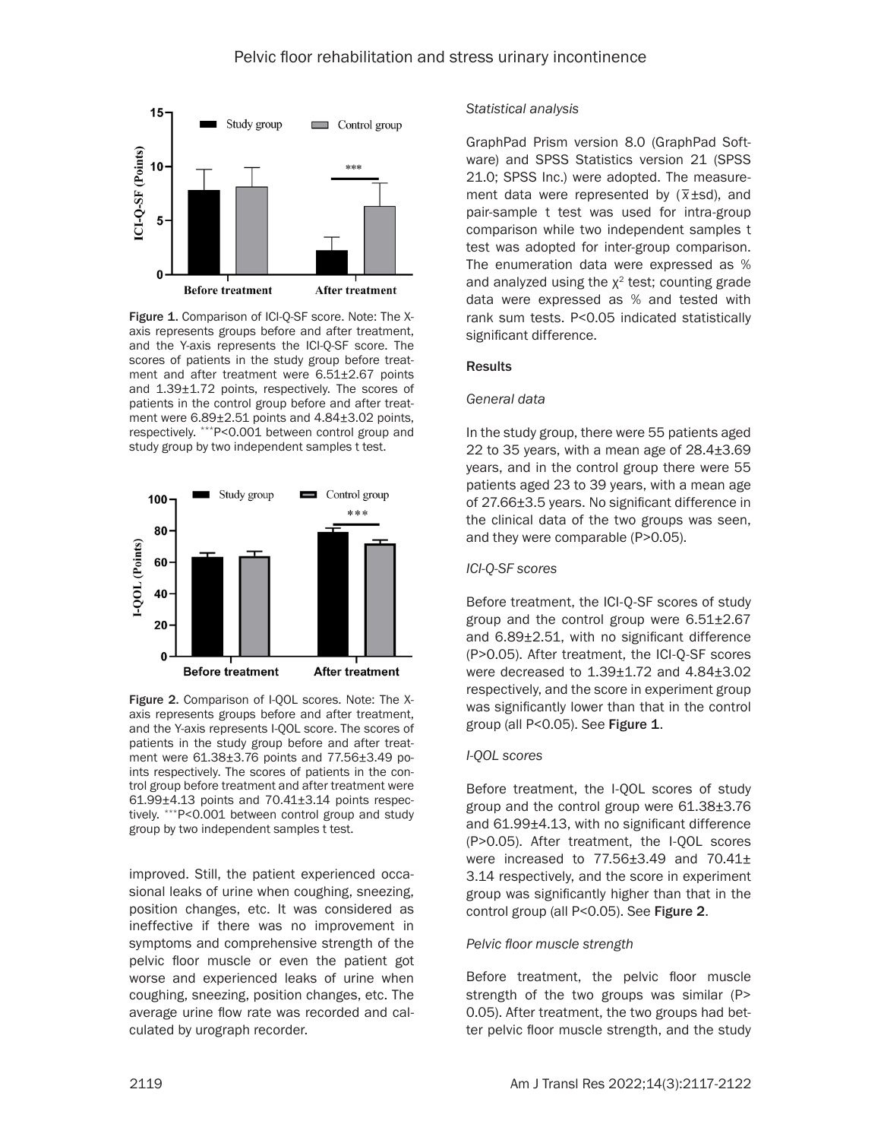

Figure 1. Comparison of ICI-Q-SF score. Note: The Xaxis represents groups before and after treatment, and the Y-axis represents the ICI-Q-SF score. The scores of patients in the study group before treatment and after treatment were  $6.51\pm2.67$  points and 1.39±1.72 points, respectively. The scores of patients in the control group before and after treatment were 6.89±2.51 points and 4.84±3.02 points, respectively. \*\*\*P<0.001 between control group and study group by two independent samples t test.



Figure 2. Comparison of I-OOL scores. Note: The Xaxis represents groups before and after treatment, and the Y-axis represents I-QOL score. The scores of patients in the study group before and after treatment were 61.38±3.76 points and 77.56±3.49 points respectively. The scores of patients in the control group before treatment and after treatment were  $61.99\pm4.13$  points and  $70.41\pm3.14$  points respectively. \*\*\*P<0.001 between control group and study group by two independent samples t test.

improved. Still, the patient experienced occasional leaks of urine when coughing, sneezing, position changes, etc. It was considered as ineffective if there was no improvement in symptoms and comprehensive strength of the pelvic floor muscle or even the patient got worse and experienced leaks of urine when coughing, sneezing, position changes, etc. The average urine flow rate was recorded and calculated by urograph recorder.

#### *Statistical analysis*

GraphPad Prism version 8.0 (GraphPad Software) and SPSS Statistics version 21 (SPSS 21.0; SPSS Inc.) were adopted. The measure- $21.0$ ,  $31.33$  mc.) were adopted. The measure-<br>ment data were represented by  $(\overline{x} \pm s d)$ , and pair-sample t test was used for intra-group comparison while two independent samples t test was adopted for inter-group comparison. The enumeration data were expressed as % and analyzed using the  $\chi^2$  test; counting grade data were expressed as % and tested with rank sum tests. P<0.05 indicated statistically significant difference.

#### Results

#### *General data*

In the study group, there were 55 patients aged 22 to 35 years, with a mean age of 28.4±3.69 years, and in the control group there were 55 patients aged 23 to 39 years, with a mean age of 27.66±3.5 years. No significant difference in the clinical data of the two groups was seen, and they were comparable (P>0.05).

#### *ICI-Q-SF scores*

Before treatment, the ICI-Q-SF scores of study group and the control group were 6.51±2.67 and 6.89±2.51, with no significant difference (P>0.05). After treatment, the ICI-Q-SF scores were decreased to 1.39±1.72 and 4.84±3.02 respectively, and the score in experiment group was significantly lower than that in the control group (all P<0.05). See Figure 1.

## *I-QOL scores*

Before treatment, the I-QOL scores of study group and the control group were 61.38±3.76 and 61.99±4.13, with no significant difference (P>0.05). After treatment, the I-QOL scores were increased to 77.56±3.49 and 70.41± 3.14 respectively, and the score in experiment group was significantly higher than that in the control group (all P<0.05). See Figure 2.

#### *Pelvic floor muscle strength*

Before treatment, the pelvic floor muscle strength of the two groups was similar (P> 0.05). After treatment, the two groups had better pelvic floor muscle strength, and the study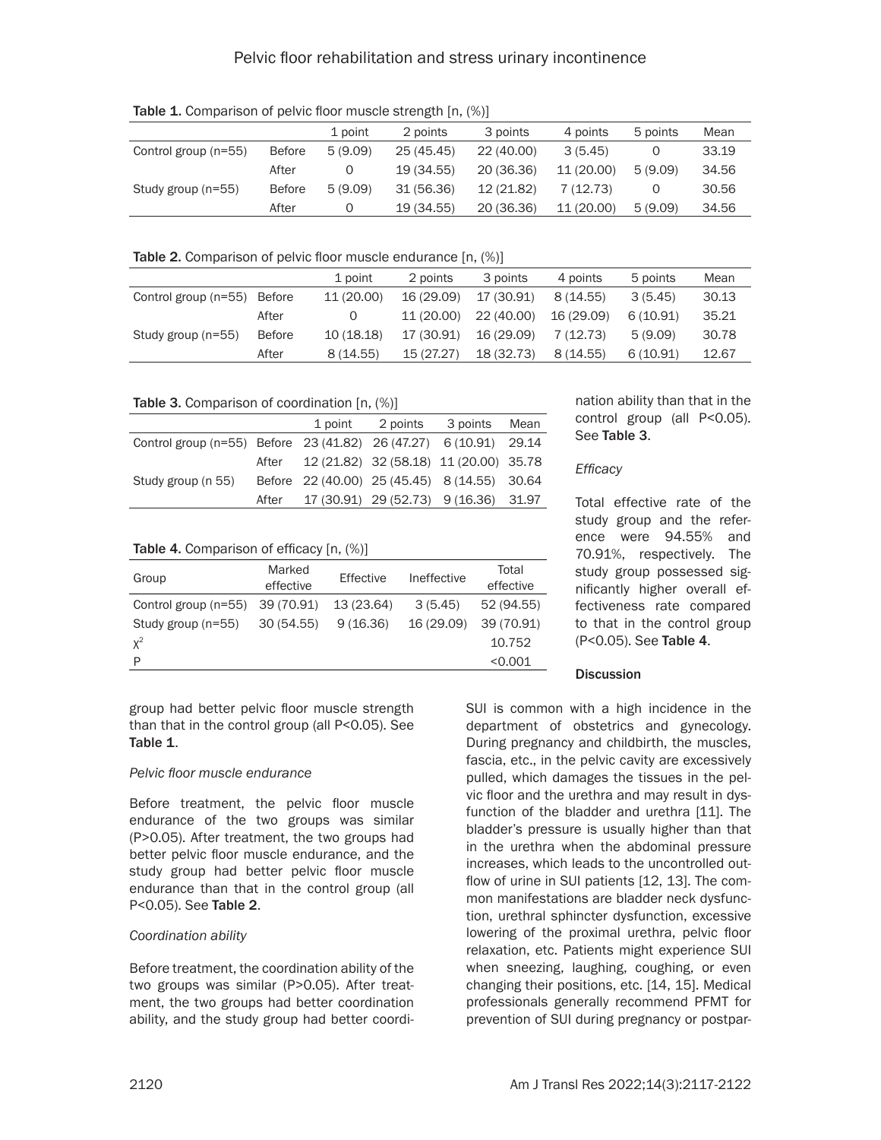Table 1. Comparison of pelvic floor muscle strength [n,  $(\%)$ ]

|                      |               | 1 point | 2 points   | 3 points   | 4 points   | 5 points | Mean  |
|----------------------|---------------|---------|------------|------------|------------|----------|-------|
| Control group (n=55) | <b>Before</b> | 5(9.09) | 25(45.45)  | 22 (40.00) | 3(5.45)    |          | 33.19 |
|                      | After         |         | 19 (34.55) | 20 (36.36) | 11 (20.00) | 5(9.09)  | 34.56 |
| Study group (n=55)   | <b>Before</b> | 5(9.09) | 31 (56.36) | 12 (21.82) | 7(12.73)   |          | 30.56 |
|                      | After         | O       | 19 (34.55) | 20 (36.36) | 11 (20.00) | 5(9.09)  | 34.56 |

Table 2. Comparison of pelvic floor muscle endurance [n, (%)]

|                             |               | 1 point    | 2 points   | 3 points   | 4 points   | 5 points | Mean  |
|-----------------------------|---------------|------------|------------|------------|------------|----------|-------|
| Control group (n=55) Before |               | 11 (20.00) | 16 (29.09) | 17 (30.91) | 8(14.55)   | 3(5.45)  | 30.13 |
|                             | After         |            | 11 (20.00) | 22 (40.00) | 16 (29.09) | 6(10.91) | 35.21 |
| Study group (n=55)          | <b>Before</b> | 10 (18.18) | 17 (30.91) | 16 (29.09) | 7 (12.73)  | 5(9.09)  | 30.78 |
|                             | After         | 8(14.55)   | 15 (27.27) | 18 (32.73) | 8(14.55)   | 6(10.91) | 12.67 |

## Table 3. Comparison of coordination [n,  $(\%)$ ]

|                                                                   |       | 1 point                                      | 2 points | 3 points                               | Mean |
|-------------------------------------------------------------------|-------|----------------------------------------------|----------|----------------------------------------|------|
| Control group (n=55) Before 23 (41.82) 26 (47.27) 6 (10.91) 29.14 |       |                                              |          |                                        |      |
|                                                                   | After |                                              |          | 12 (21.82) 32 (58.18) 11 (20.00) 35.78 |      |
| Study group (n 55)                                                |       | Before 22 (40.00) 25 (45.45) 8 (14.55) 30.64 |          |                                        |      |
|                                                                   | After |                                              |          | 17 (30.91) 29 (52.73) 9 (16.36) 31.97  |      |

# Table 4. Comparison of efficacy [n,  $(\%)$ ]

| Group                           | Marked<br>effective | Effective  | Ineffective | Total<br>effective |
|---------------------------------|---------------------|------------|-------------|--------------------|
| Control group (n=55) 39 (70.91) |                     | 13 (23.64) | 3(5.45)     | 52 (94.55)         |
| Study group (n=55)              | 30 (54.55)          | 9(16.36)   | 16 (29.09)  | 39 (70.91)         |
| $X^2$                           |                     |            |             | 10.752             |
| P                               |                     |            |             | < 0.001            |
|                                 |                     |            |             |                    |

group had better pelvic floor muscle strength than that in the control group (all P<0.05). See Table 1.

# *Pelvic floor muscle endurance*

Before treatment, the pelvic floor muscle endurance of the two groups was similar (P>0.05). After treatment, the two groups had better pelvic floor muscle endurance, and the study group had better pelvic floor muscle endurance than that in the control group (all P<0.05). See Table 2.

# *Coordination ability*

Before treatment, the coordination ability of the two groups was similar (P>0.05). After treatment, the two groups had better coordination ability, and the study group had better coordination ability than that in the control group (all P<0.05). See Table 3.

# *Efficacy*

Total effective rate of the study group and the reference were 94.55% and 70.91%, respectively. The study group possessed significantly higher overall effectiveness rate compared to that in the control group (P<0.05). See Table 4.

# **Discussion**

SUI is common with a high incidence in the department of obstetrics and gynecology. During pregnancy and childbirth, the muscles, fascia, etc., in the pelvic cavity are excessively pulled, which damages the tissues in the pelvic floor and the urethra and may result in dysfunction of the bladder and urethra [11]. The bladder's pressure is usually higher than that in the urethra when the abdominal pressure increases, which leads to the uncontrolled outflow of urine in SUI patients [12, 13]. The common manifestations are bladder neck dysfunction, urethral sphincter dysfunction, excessive lowering of the proximal urethra, pelvic floor relaxation, etc. Patients might experience SUI when sneezing, laughing, coughing, or even changing their positions, etc. [14, 15]. Medical professionals generally recommend PFMT for prevention of SUI during pregnancy or postpar-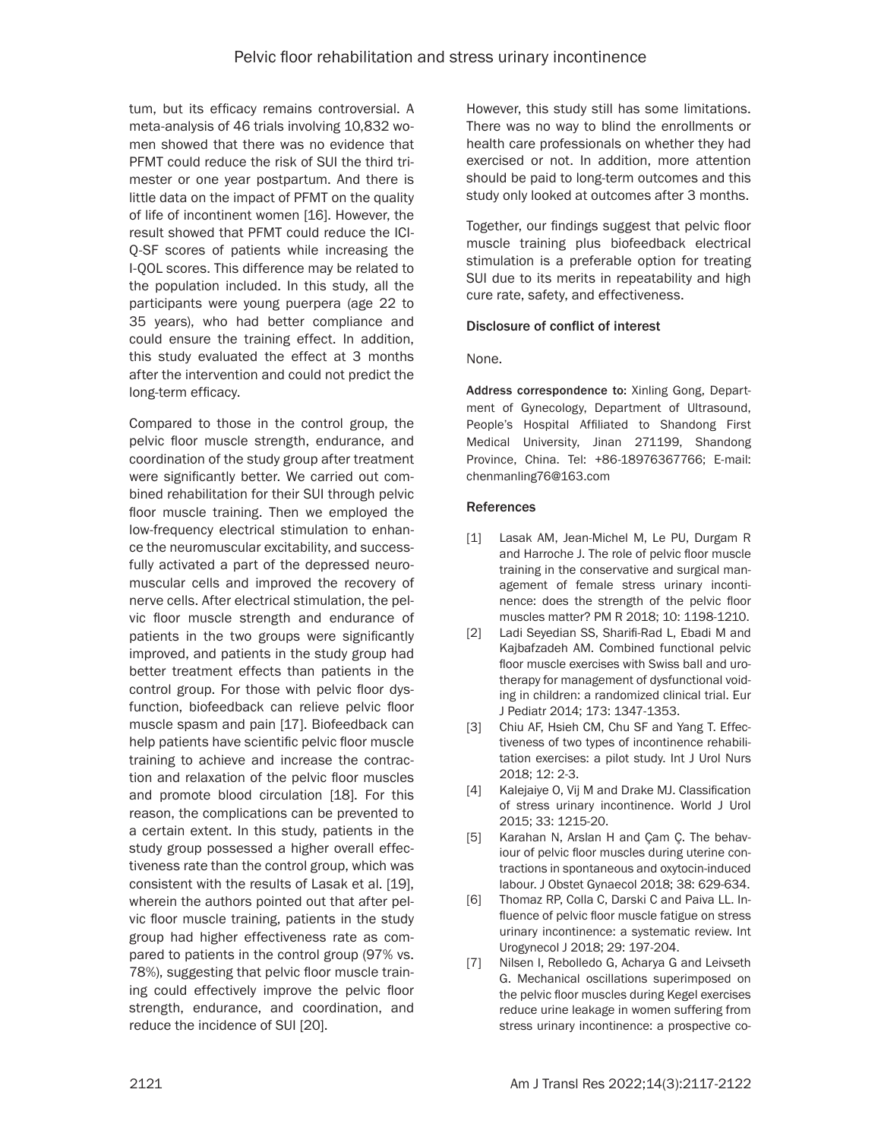tum, but its efficacy remains controversial. A meta-analysis of 46 trials involving 10,832 women showed that there was no evidence that PFMT could reduce the risk of SUI the third trimester or one year postpartum. And there is little data on the impact of PFMT on the quality of life of incontinent women [16]. However, the result showed that PFMT could reduce the ICI-Q-SF scores of patients while increasing the I-QOL scores. This difference may be related to the population included. In this study, all the participants were young puerpera (age 22 to 35 years), who had better compliance and could ensure the training effect. In addition, this study evaluated the effect at 3 months after the intervention and could not predict the long-term efficacy.

Compared to those in the control group, the pelvic floor muscle strength, endurance, and coordination of the study group after treatment were significantly better. We carried out combined rehabilitation for their SUI through pelvic floor muscle training. Then we employed the low-frequency electrical stimulation to enhance the neuromuscular excitability, and successfully activated a part of the depressed neuromuscular cells and improved the recovery of nerve cells. After electrical stimulation, the pelvic floor muscle strength and endurance of patients in the two groups were significantly improved, and patients in the study group had better treatment effects than patients in the control group. For those with pelvic floor dysfunction, biofeedback can relieve pelvic floor muscle spasm and pain [17]. Biofeedback can help patients have scientific pelvic floor muscle training to achieve and increase the contraction and relaxation of the pelvic floor muscles and promote blood circulation [18]. For this reason, the complications can be prevented to a certain extent. In this study, patients in the study group possessed a higher overall effectiveness rate than the control group, which was consistent with the results of Lasak et al. [19], wherein the authors pointed out that after pelvic floor muscle training, patients in the study group had higher effectiveness rate as compared to patients in the control group (97% vs. 78%), suggesting that pelvic floor muscle training could effectively improve the pelvic floor strength, endurance, and coordination, and reduce the incidence of SUI [20].

However, this study still has some limitations. There was no way to blind the enrollments or health care professionals on whether they had exercised or not. In addition, more attention should be paid to long-term outcomes and this study only looked at outcomes after 3 months.

Together, our findings suggest that pelvic floor muscle training plus biofeedback electrical stimulation is a preferable option for treating SUI due to its merits in repeatability and high cure rate, safety, and effectiveness.

## Disclosure of conflict of interest

None.

Address correspondence to: Xinling Gong, Department of Gynecology, Department of Ultrasound, People's Hospital Affiliated to Shandong First Medical University, Jinan 271199, Shandong Province, China. Tel: +86-18976367766; E-mail: chenmanling76@163.com

## References

- [1] Lasak AM, Jean-Michel M, Le PU, Durgam R and Harroche J. The role of pelvic floor muscle training in the conservative and surgical management of female stress urinary incontinence: does the strength of the pelvic floor muscles matter? PM R 2018; 10: 1198-1210.
- [2] Ladi Seyedian SS, Sharifi-Rad L, Ebadi M and Kajbafzadeh AM. Combined functional pelvic floor muscle exercises with Swiss ball and urotherapy for management of dysfunctional voiding in children: a randomized clinical trial. Eur J Pediatr 2014; 173: 1347-1353.
- [3] Chiu AF, Hsieh CM, Chu SF and Yang T. Effectiveness of two types of incontinence rehabilitation exercises: a pilot study. Int J Urol Nurs 2018; 12: 2-3.
- [4] Kalejaiye O, Vij M and Drake MJ. Classification of stress urinary incontinence. World J Urol 2015; 33: 1215-20.
- [5] Karahan N, Arslan H and Çam Ç. The behaviour of pelvic floor muscles during uterine contractions in spontaneous and oxytocin-induced labour. J Obstet Gynaecol 2018; 38: 629-634.
- [6] Thomaz RP, Colla C, Darski C and Paiva LL. Influence of pelvic floor muscle fatigue on stress urinary incontinence: a systematic review. Int Urogynecol J 2018; 29: 197-204.
- [7] Nilsen I, Rebolledo G, Acharya G and Leivseth G. Mechanical oscillations superimposed on the pelvic floor muscles during Kegel exercises reduce urine leakage in women suffering from stress urinary incontinence: a prospective co-